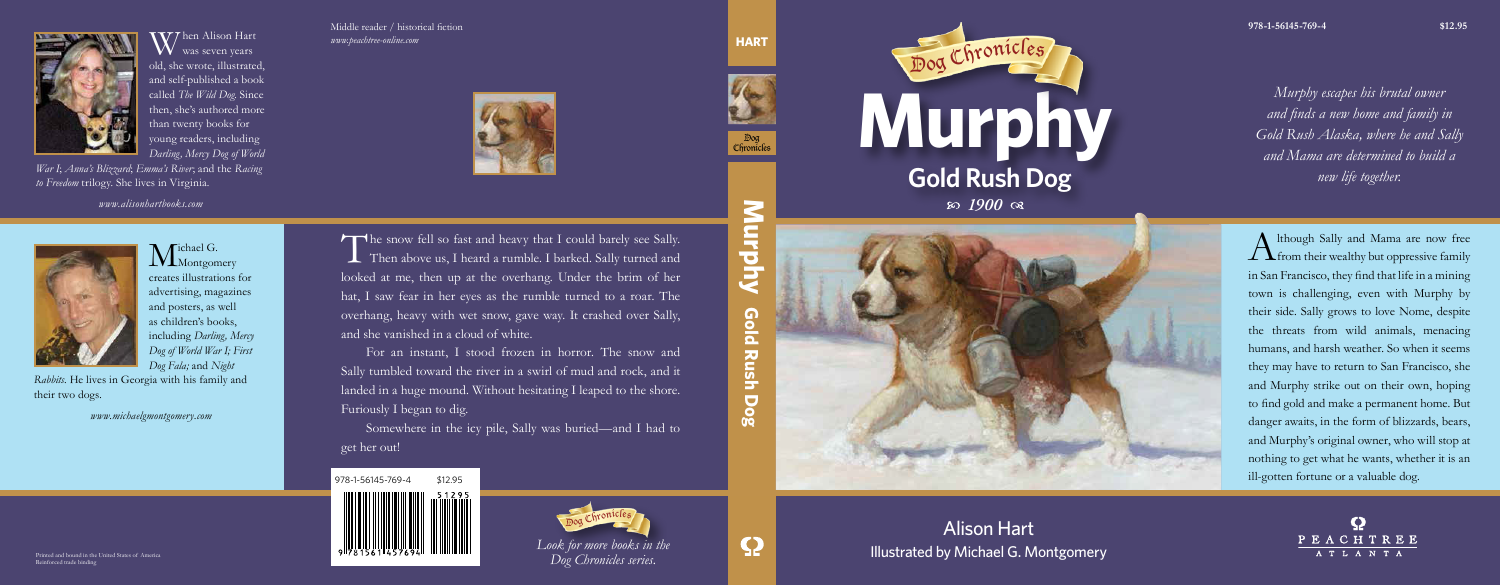*Murphy escapes his brutal owner and finds a new home and family in Gold Rush Alaska, where he and Sally and Mama are determined to build a new life together.*

*Look for more books in the Dog Chronicles series.*

 $A$ <sup>lthough Sally and Mama are now free</sup> family from their wealthy but oppressive family in San Francisco, they find that life in a mining town is challenging, even with Murphy by their side. Sally grows to love Nome, despite the threats from wild animals, menacing humans, and harsh weather. So when it seems they may have to return to San Francisco, she and Murphy strike out on their own, hoping to find gold and make a permanent home. But danger awaits, in the form of blizzards, bears, and Murphy's original owner, who will stop at nothing to get what he wants, whether it is an ill-gotten fortune or a valuable dog.

PEACHTREE

ATLANTA



 $\mathcal{V}\mathcal{T}$ hen Alison Hart  $N$  was seven years. old, she wrote, illustrated, and self-published a book called *The Wild Dog*. Since then, she's authored more than twenty books for young readers, including *Darling, Mercy Dog of World* 

 $M<sub>Montgomery</sub>$ creates illustrations for advertising, magazines and posters, as well as children's books, including *Darling, Mercy Dog of World War I; First Dog Fala;* and *Night* 

**Murphy** Gold **Gold Rush Dog** Rush **Dog** 





The snow fell so fast and heavy that I could barely see Sally.<br>Then above us, I heard a rumble. I barked. Sally turned and looked at me, then up at the overhang. Under the brim of her hat, I saw fear in her eyes as the rum Then above us, I heard a rumble. I barked. Sally turned and looked at me, then up at the overhang. Under the brim of her hat, I saw fear in her eyes as the rumble turned to a roar. The overhang, heavy with wet snow, gave way. It crashed over Sally, and she vanished in a cloud of white.

*War I*; *Anna's Blizzard*; *Emma's River*; and the *Racing to Freedom* trilogy. She lives in Virginia.

*www.alisonhartbooks.com*



*Rabbits.* He lives in Georgia with his family and their two dogs.

*www.michaelgmontgomery.com*

Middle reader / historical fiction **978-1-56145-769-4 \$12.95** *www.peachtree-online.com*



Printed and bound in the United States of America Reinforced trade binding

Alison Hart Illustrated by Michael G. Montgomery





 $1900 \text{ or }$ 



**HART**



For an instant, I stood frozen in horror. The snow and Sally tumbled toward the river in a swirl of mud and rock, and it landed in a huge mound. Without hesitating I leaped to the shore. Furiously I began to dig.

Somewhere in the icy pile, Sally was buried—and I had to get her out!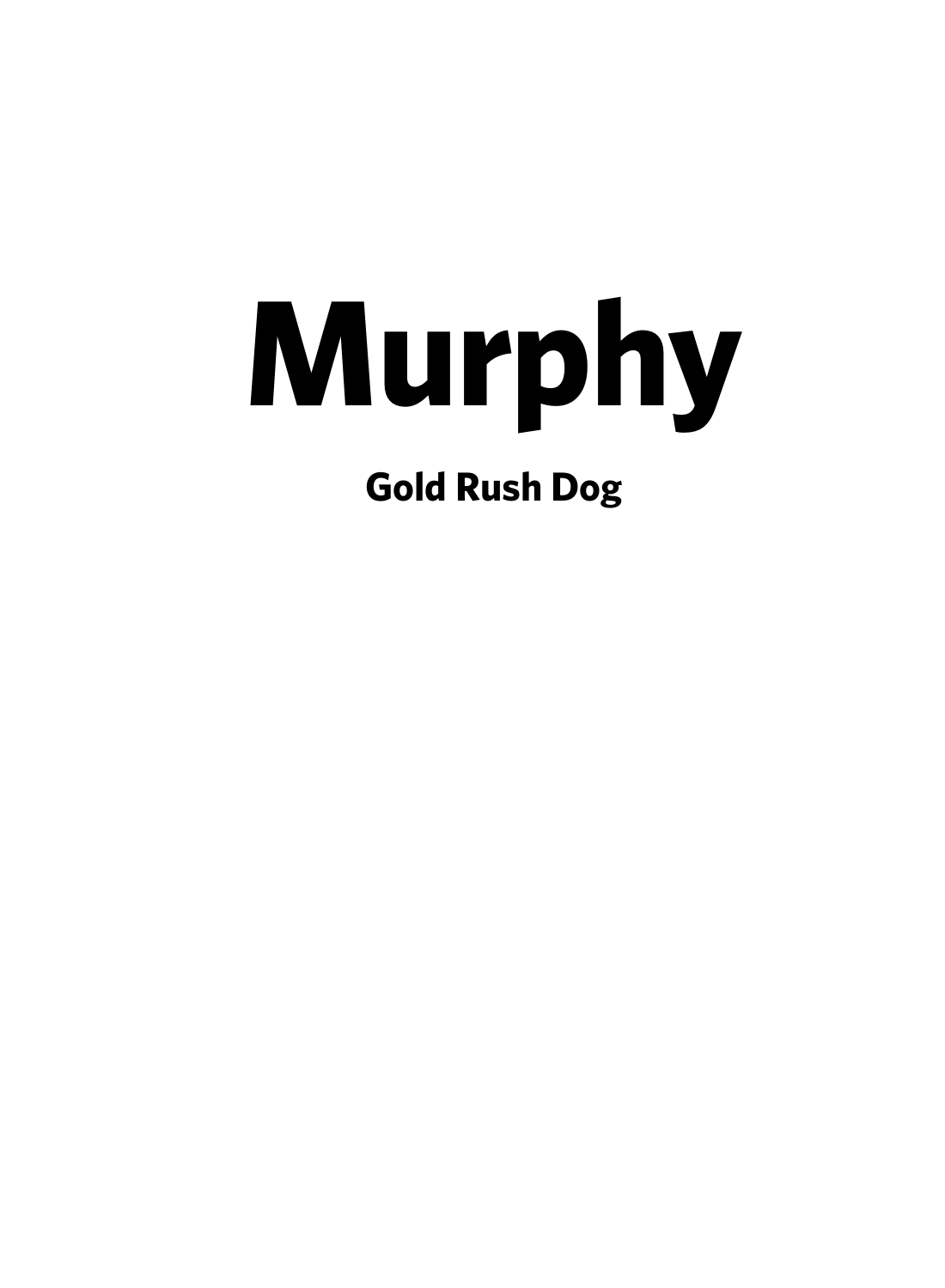# **Murphy**

**Gold Rush Dog**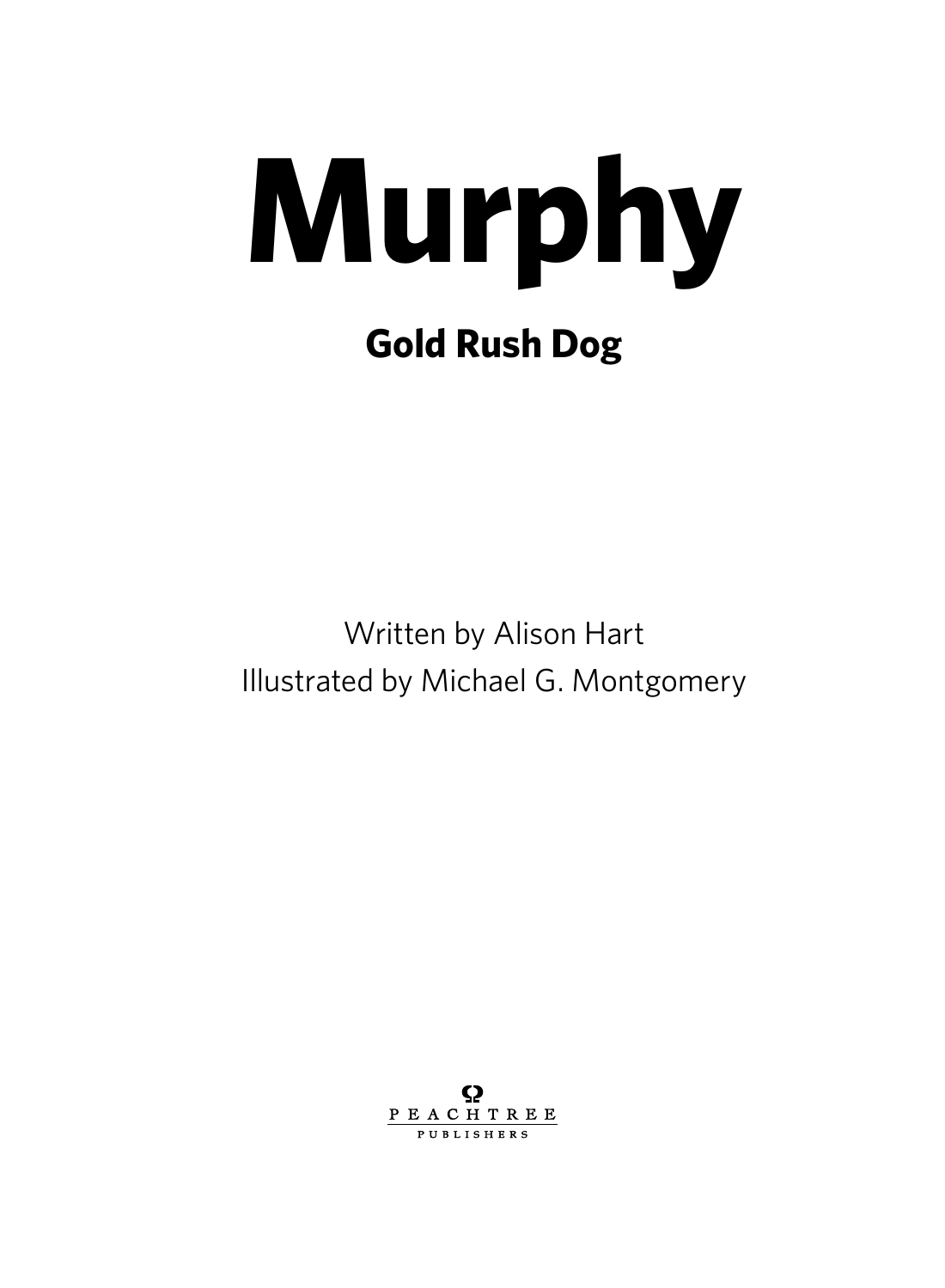

Written by Alison Hart Illustrated by Michael G. Montgomery

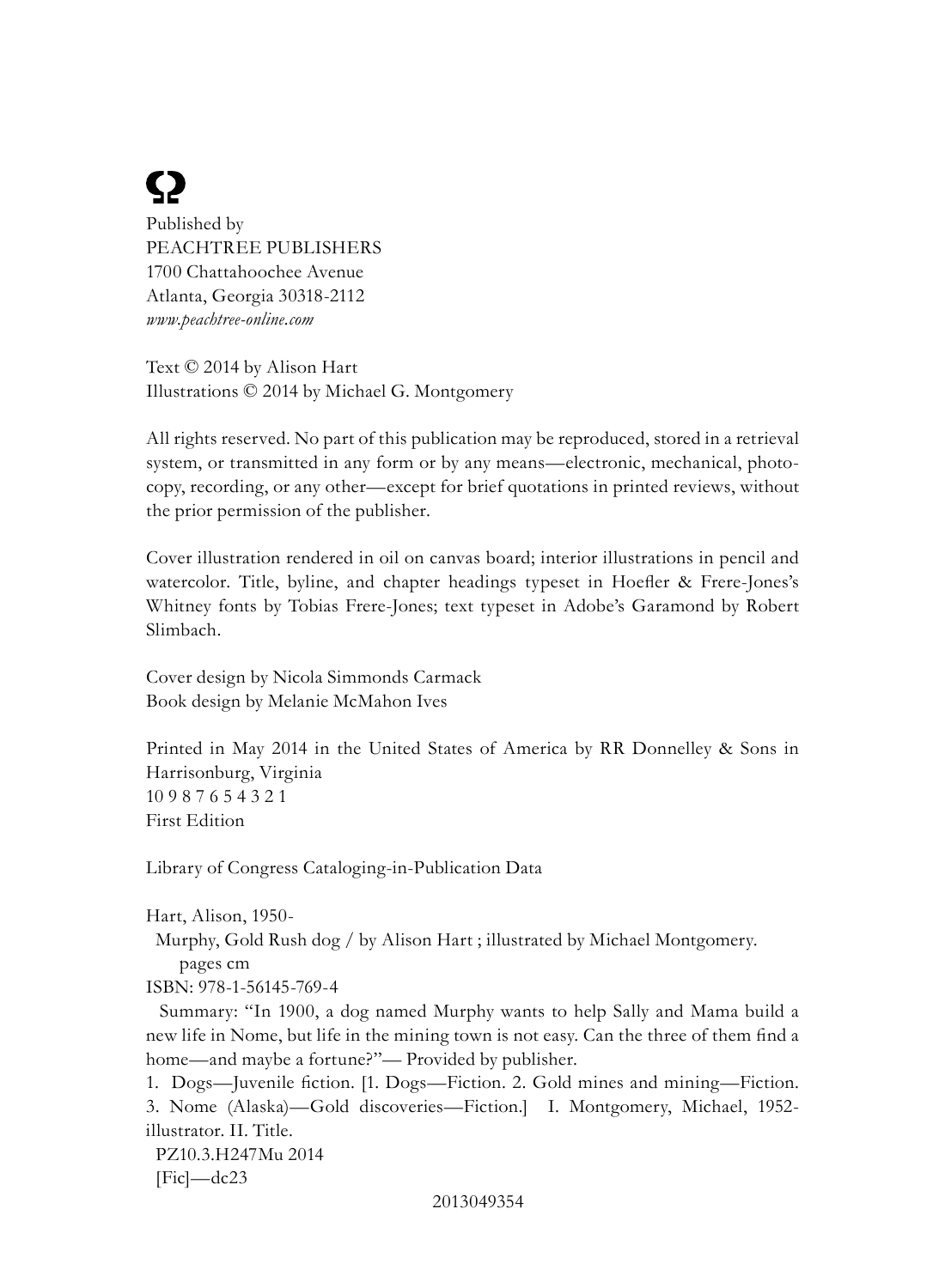# <u>(2</u>

Published by PEACHTREE PUBLISHERS 1700 Chattahoochee Avenue Atlanta, Georgia 30318-2112 *www.peachtree-online.com*

Text © 2014 by Alison Hart Illustrations © 2014 by Michael G. Montgomery

All rights reserved. No part of this publication may be reproduced, stored in a retrieval system, or transmitted in any form or by any means—electronic, mechanical, photocopy, recording, or any other—except for brief quotations in printed reviews, without the prior permission of the publisher.

Cover illustration rendered in oil on canvas board; interior illustrations in pencil and watercolor. Title, byline, and chapter headings typeset in Hoefler & Frere-Jones's Whitney fonts by Tobias Frere-Jones; text typeset in Adobe's Garamond by Robert Slimbach.

Cover design by Nicola Simmonds Carmack Book design by Melanie McMahon Ives

Printed in May 2014 in the United States of America by RR Donnelley & Sons in Harrisonburg, Virginia 10 9 8 7 6 5 4 3 2 1 First Edition

Library of Congress Cataloging-in-Publication Data

 Murphy, Gold Rush dog / by Alison Hart ; illustrated by Michael Montgomery. pages cm

ISBN: 978-1-56145-769-4

 Summary: "In 1900, a dog named Murphy wants to help Sally and Mama build a new life in Nome, but life in the mining town is not easy. Can the three of them find a home—and maybe a fortune?"— Provided by publisher.

1. Dogs—Juvenile fiction. [1. Dogs—Fiction. 2. Gold mines and mining—Fiction. 3. Nome (Alaska)—Gold discoveries—Fiction.] I. Montgomery, Michael, 1952 illustrator. II. Title.

 PZ10.3.H247Mu 2014  $[Fig]$ —dc23

Hart, Alison, 1950-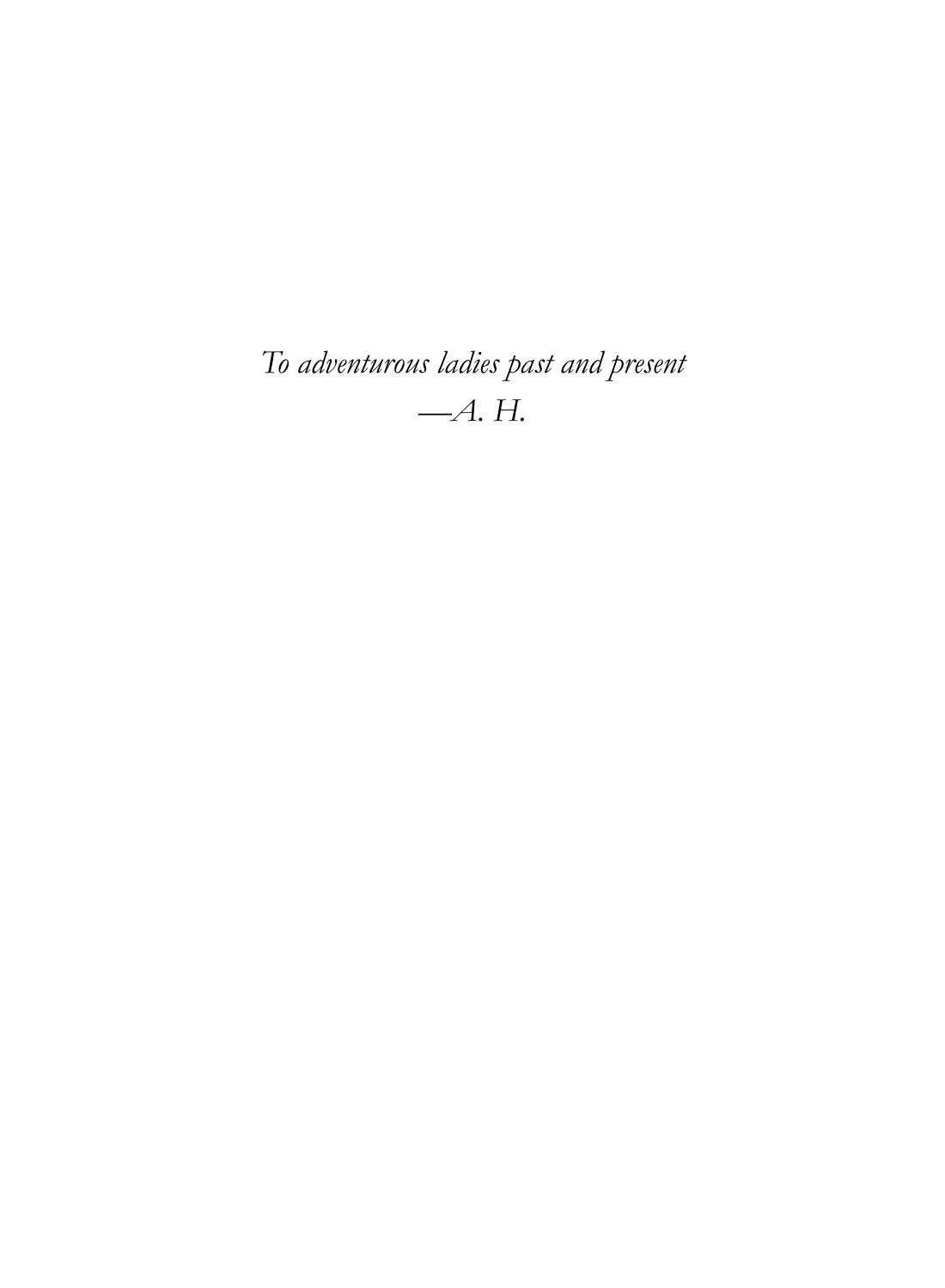*To adventurous ladies past and present —A. H.*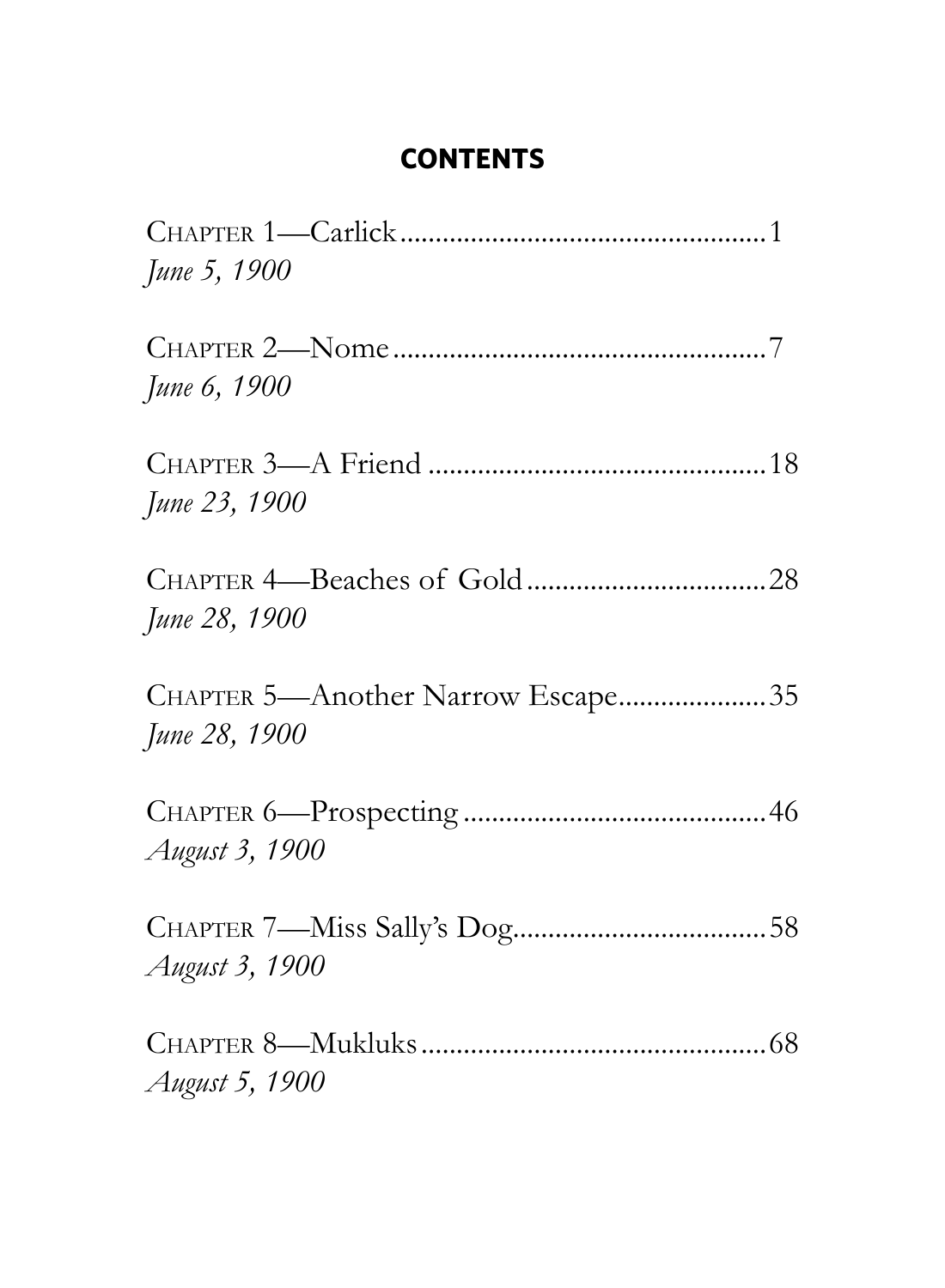## **Contents**

| June 5, 1900                                       |  |
|----------------------------------------------------|--|
| June 6, 1900                                       |  |
| June 23, 1900                                      |  |
| June 28, 1900                                      |  |
| CHAPTER 5-Another Narrow Escape35<br>June 28, 1900 |  |
| August 3, 1900                                     |  |
| August 3, 1900                                     |  |
| August 5, 1900                                     |  |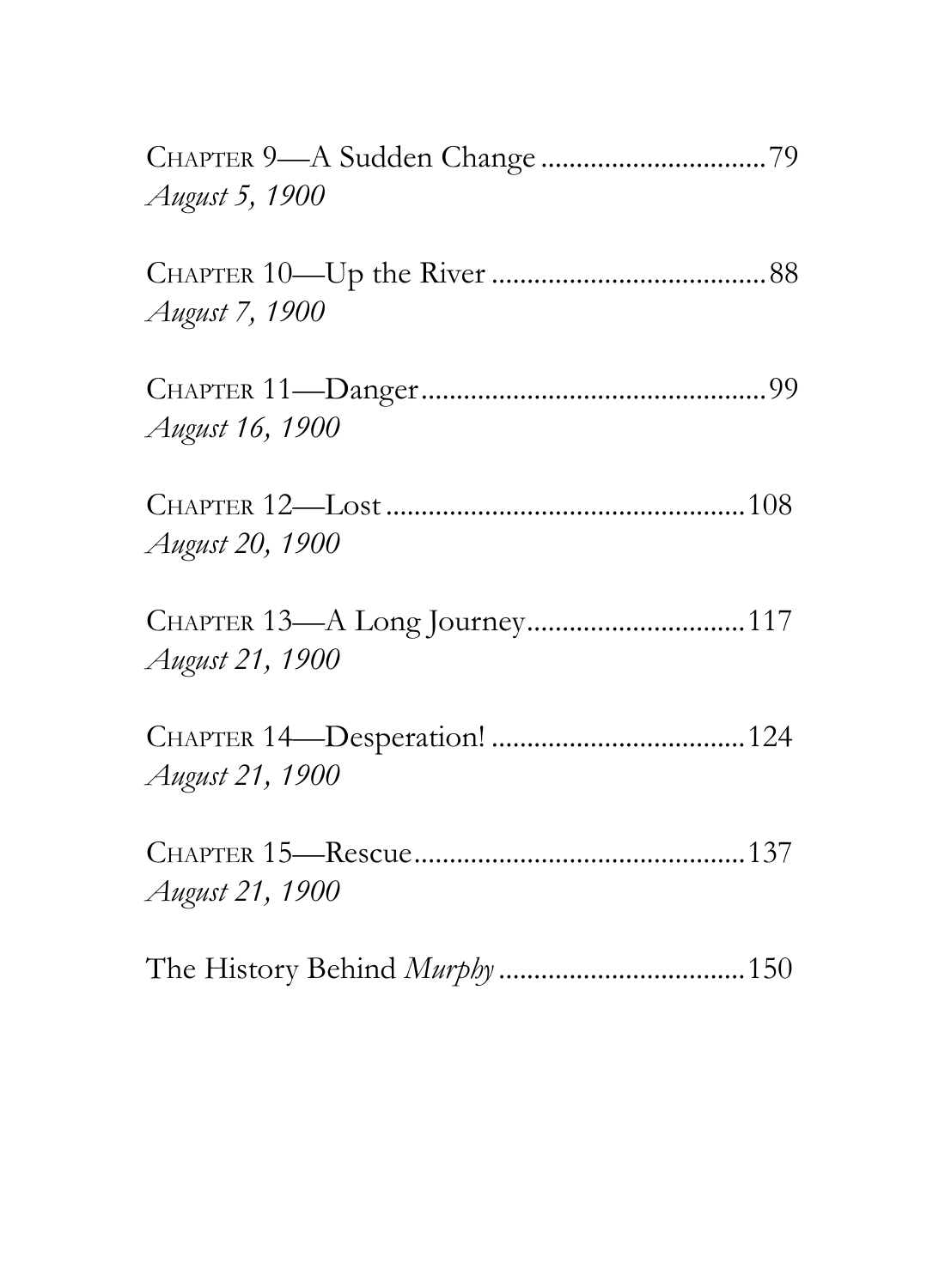| August 5, 1900  |
|-----------------|
| August 7, 1900  |
| August 16, 1900 |
| August 20, 1900 |
| August 21, 1900 |
| August 21, 1900 |
| August 21, 1900 |
|                 |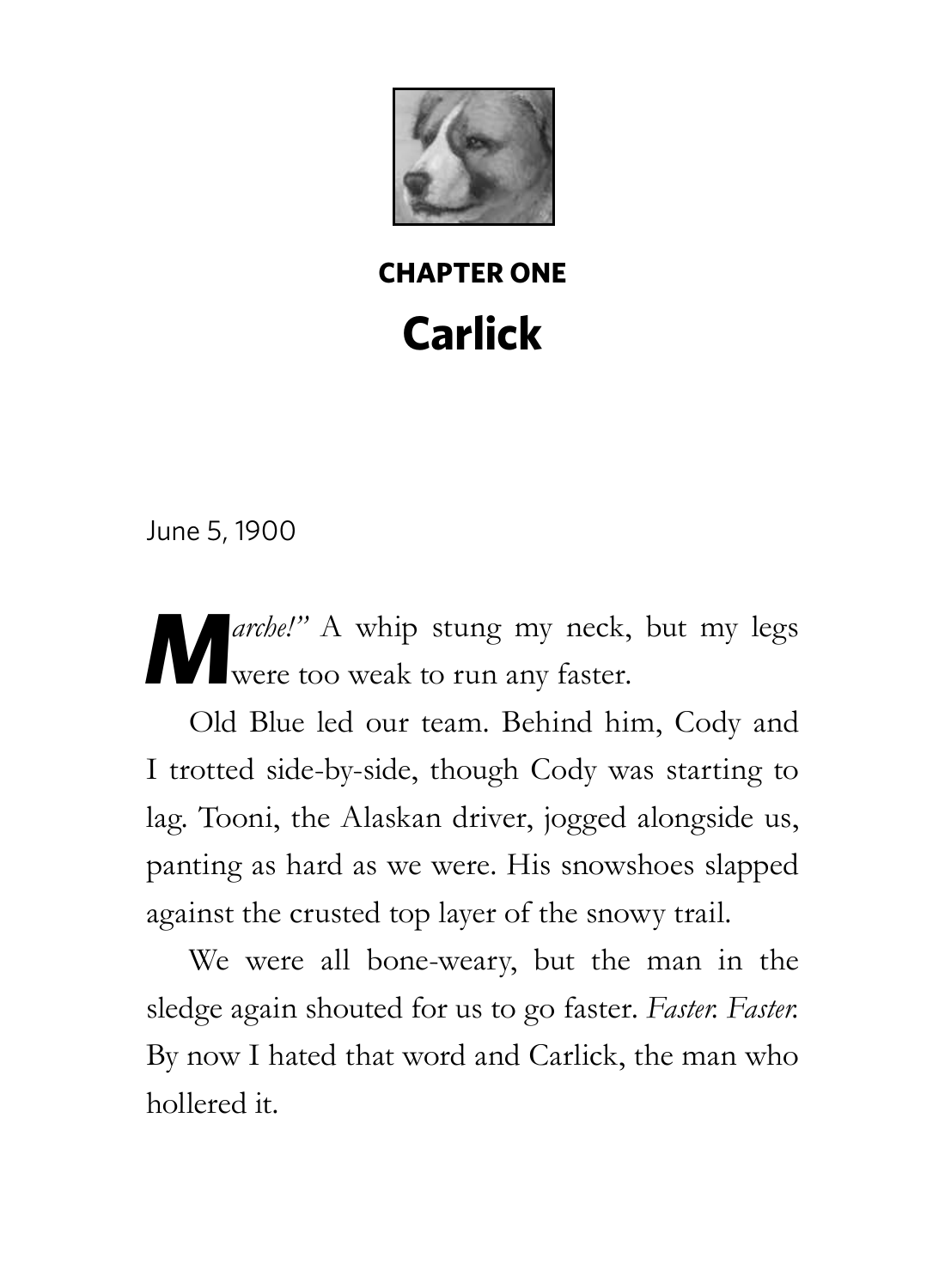

**Chapter One Carlick** 

June 5, 1900

**M***arche!"* A whip stung my neck, but my legs **Were** too weak to run any faster.

Old Blue led our team. Behind him, Cody and I trotted side-by-side, though Cody was starting to lag. Tooni, the Alaskan driver, jogged alongside us, panting as hard as we were. His snowshoes slapped against the crusted top layer of the snowy trail.

We were all bone-weary, but the man in the sledge again shouted for us to go faster. *Faster. Faster.* By now I hated that word and Carlick, the man who hollered it.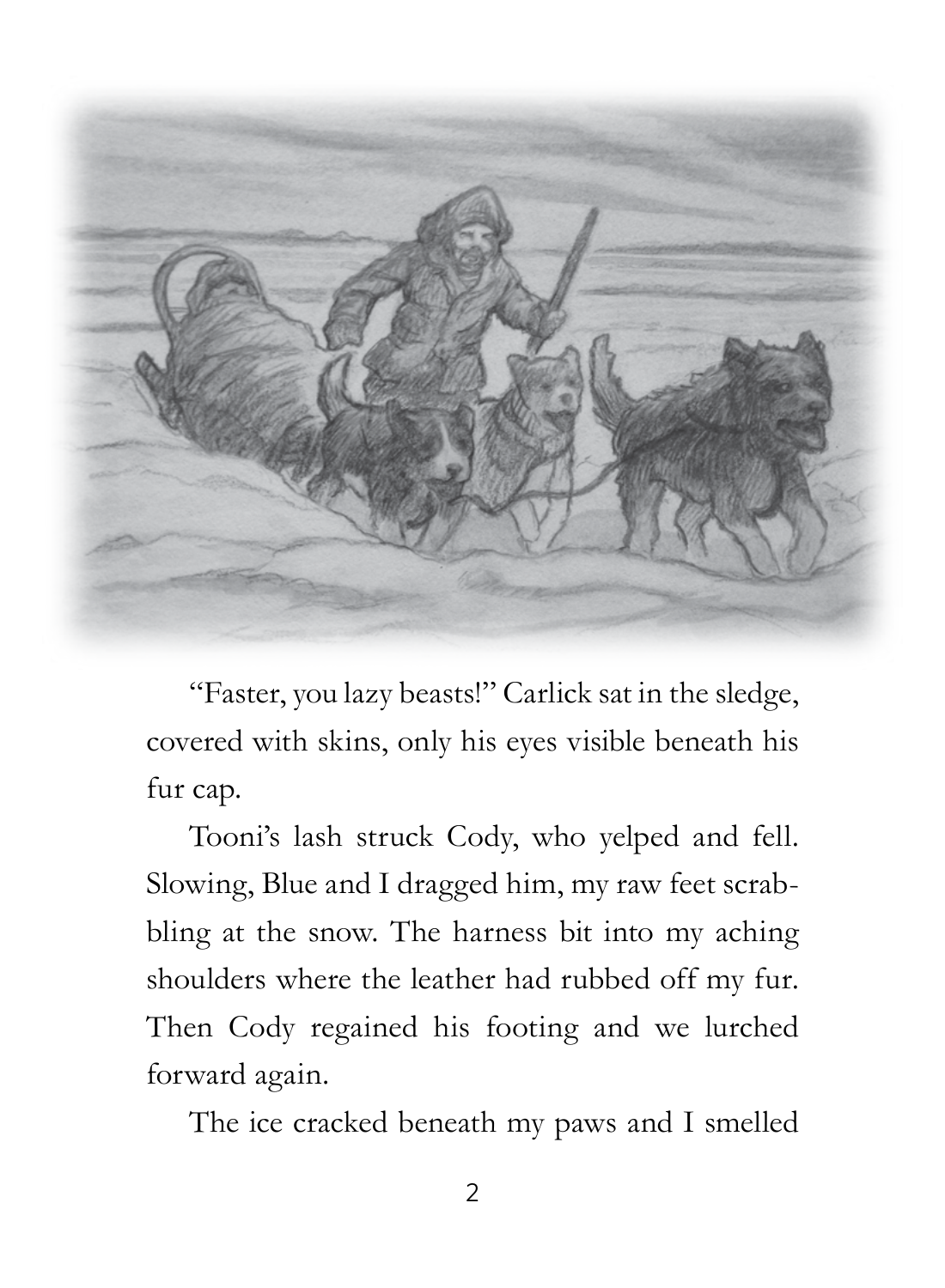

"Faster, you lazy beasts!" Carlick sat in the sledge, covered with skins, only his eyes visible beneath his fur cap.

Tooni's lash struck Cody, who yelped and fell. Slowing, Blue and I dragged him, my raw feet scrabbling at the snow. The harness bit into my aching shoulders where the leather had rubbed off my fur. Then Cody regained his footing and we lurched forward again.

The ice cracked beneath my paws and I smelled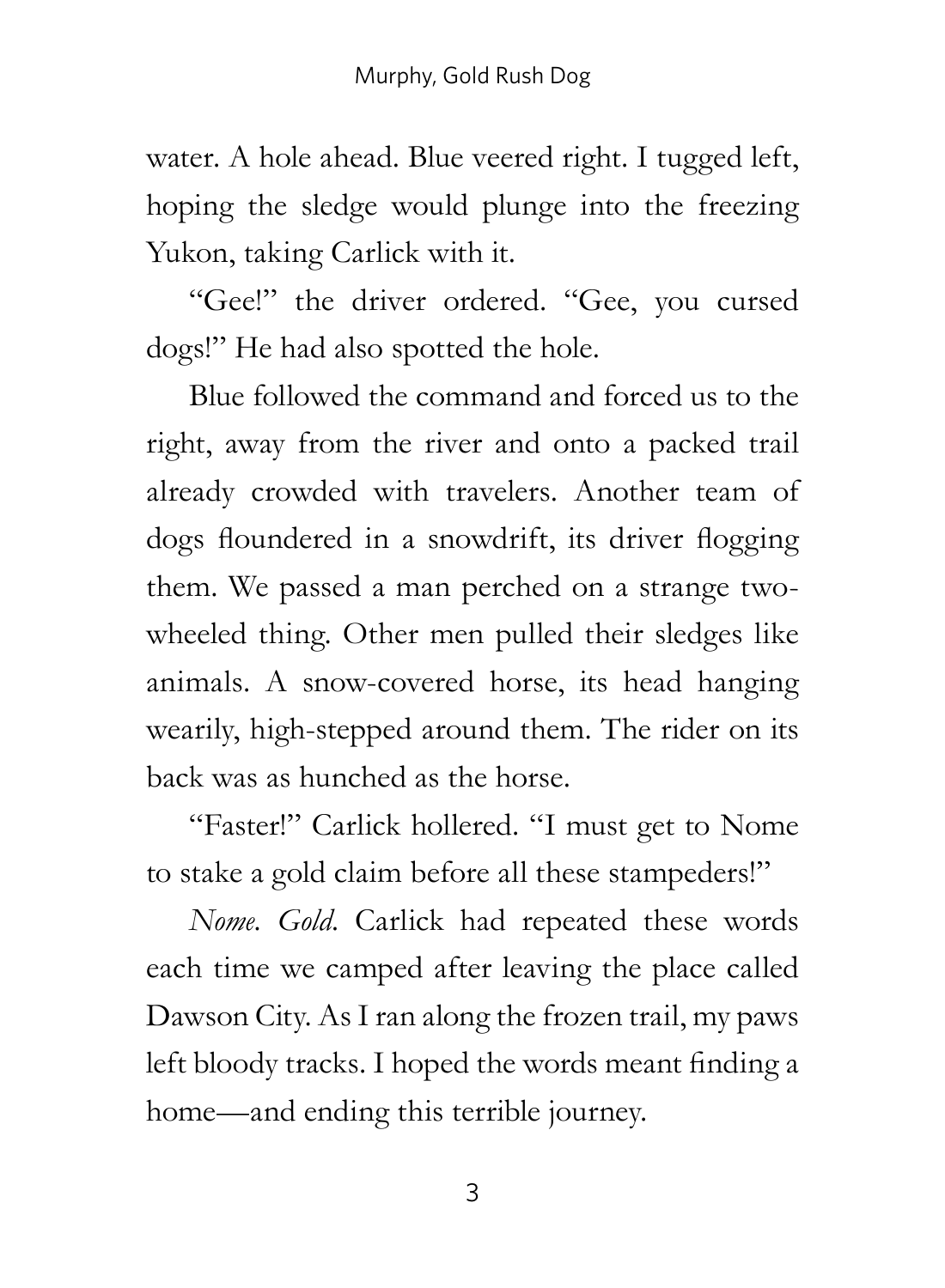water. A hole ahead. Blue veered right. I tugged left, hoping the sledge would plunge into the freezing Yukon, taking Carlick with it.

"Gee!" the driver ordered. "Gee, you cursed dogs!" He had also spotted the hole.

Blue followed the command and forced us to the right, away from the river and onto a packed trail already crowded with travelers. Another team of dogs floundered in a snowdrift, its driver flogging them. We passed a man perched on a strange twowheeled thing. Other men pulled their sledges like animals. A snow-covered horse, its head hanging wearily, high-stepped around them. The rider on its back was as hunched as the horse.

"Faster!" Carlick hollered. "I must get to Nome to stake a gold claim before all these stampeders!"

*Nome. Gold.* Carlick had repeated these words each time we camped after leaving the place called Dawson City. As I ran along the frozen trail, my paws left bloody tracks. I hoped the words meant finding a home—and ending this terrible journey.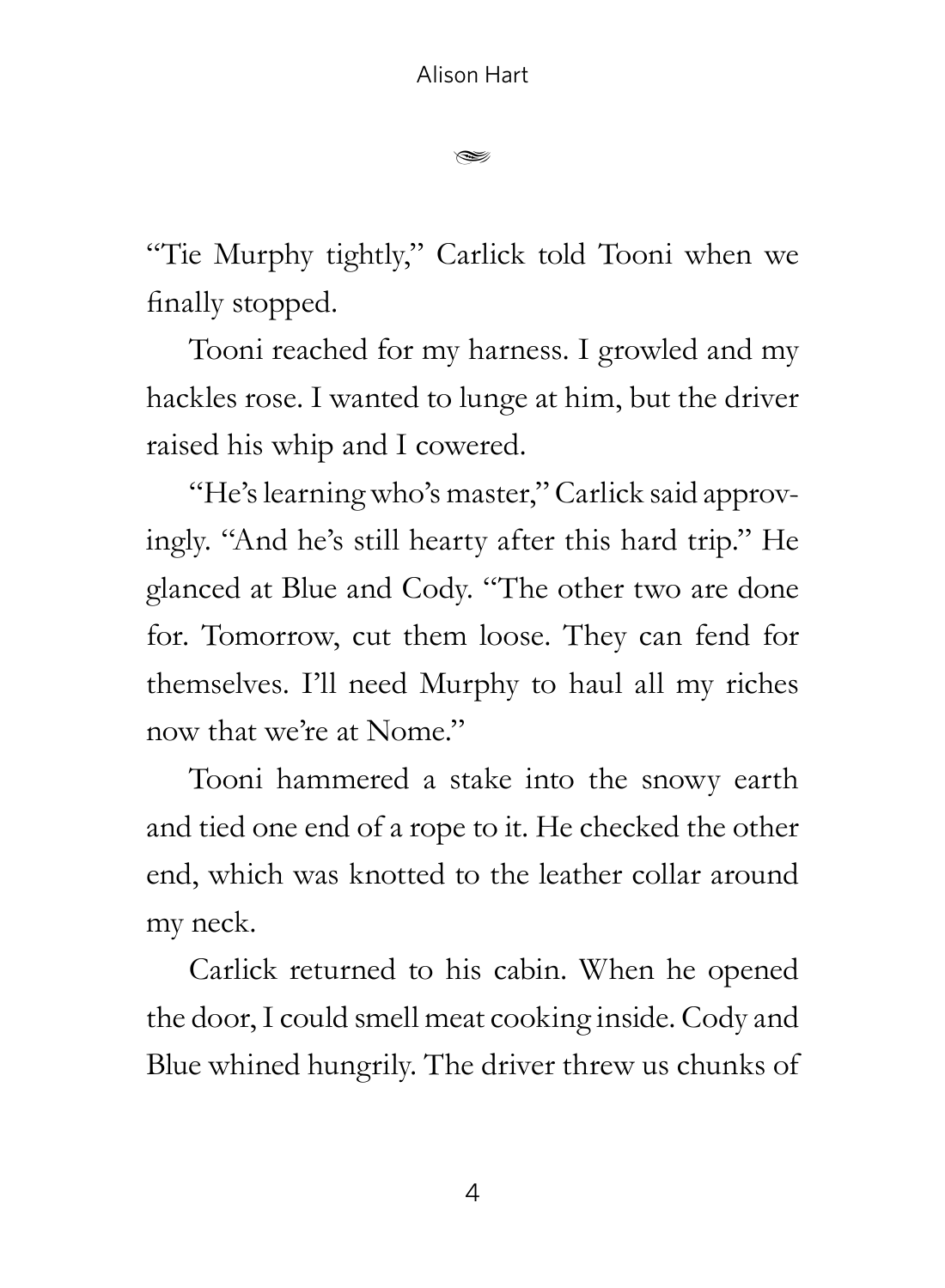$\approx$ 

"Tie Murphy tightly," Carlick told Tooni when we finally stopped.

Tooni reached for my harness. I growled and my hackles rose. I wanted to lunge at him, but the driver raised his whip and I cowered.

"He's learning who's master," Carlick said approvingly. "And he's still hearty after this hard trip." He glanced at Blue and Cody. "The other two are done for. Tomorrow, cut them loose. They can fend for themselves. I'll need Murphy to haul all my riches now that we're at Nome."

Tooni hammered a stake into the snowy earth and tied one end of a rope to it. He checked the other end, which was knotted to the leather collar around my neck.

Carlick returned to his cabin. When he opened the door, I could smell meat cooking inside. Cody and Blue whined hungrily. The driver threw us chunks of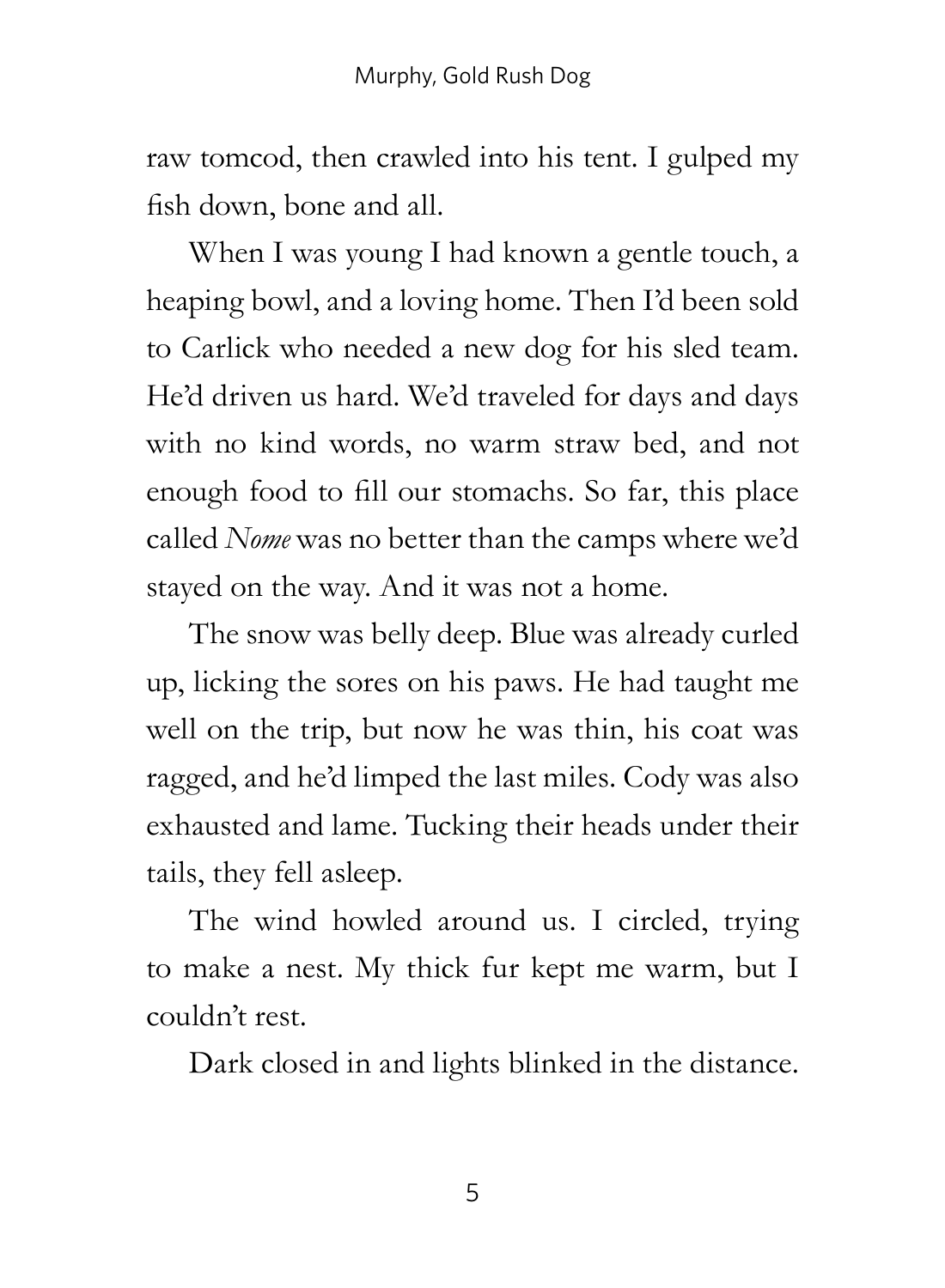raw tomcod, then crawled into his tent. I gulped my fish down, bone and all.

When I was young I had known a gentle touch, a heaping bowl, and a loving home. Then I'd been sold to Carlick who needed a new dog for his sled team. He'd driven us hard. We'd traveled for days and days with no kind words, no warm straw bed, and not enough food to fill our stomachs. So far, this place called *Nome* was no better than the camps where we'd stayed on the way. And it was not a home.

The snow was belly deep. Blue was already curled up, licking the sores on his paws. He had taught me well on the trip, but now he was thin, his coat was ragged, and he'd limped the last miles. Cody was also exhausted and lame. Tucking their heads under their tails, they fell asleep.

The wind howled around us. I circled, trying to make a nest. My thick fur kept me warm, but I couldn't rest.

Dark closed in and lights blinked in the distance.